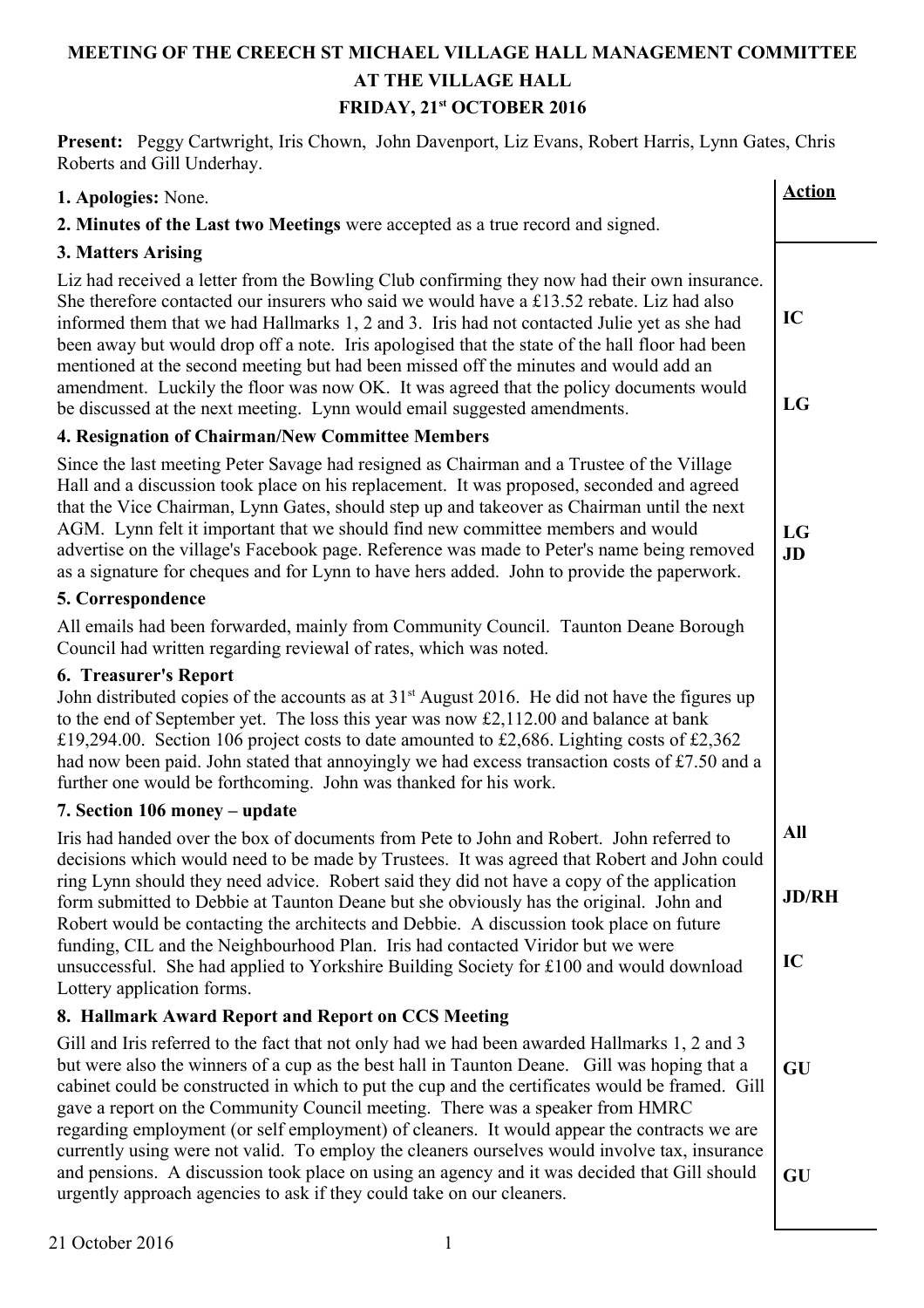# **MEETING OF THE CREECH ST MICHAEL VILLAGE HALL MANAGEMENT COMMITTEE AT THE VILLAGE HALL FRIDAY, 21st OCTOBER 2016**

**Present:** Peggy Cartwright, Iris Chown, John Davenport, Liz Evans, Robert Harris, Lynn Gates, Chris Roberts and Gill Underhay.

| Roberts and Om Undermay.                                                                                                                                                                                                                                                                                                                                                                                                                                                                                                                                                                                                                                 |               |
|----------------------------------------------------------------------------------------------------------------------------------------------------------------------------------------------------------------------------------------------------------------------------------------------------------------------------------------------------------------------------------------------------------------------------------------------------------------------------------------------------------------------------------------------------------------------------------------------------------------------------------------------------------|---------------|
| 1. Apologies: None.                                                                                                                                                                                                                                                                                                                                                                                                                                                                                                                                                                                                                                      | <b>Action</b> |
| 2. Minutes of the Last two Meetings were accepted as a true record and signed.                                                                                                                                                                                                                                                                                                                                                                                                                                                                                                                                                                           |               |
| 3. Matters Arising                                                                                                                                                                                                                                                                                                                                                                                                                                                                                                                                                                                                                                       |               |
| Liz had received a letter from the Bowling Club confirming they now had their own insurance.<br>She therefore contacted our insurers who said we would have a £13.52 rebate. Liz had also<br>informed them that we had Hallmarks 1, 2 and 3. Iris had not contacted Julie yet as she had<br>been away but would drop off a note. Iris apologised that the state of the hall floor had been<br>mentioned at the second meeting but had been missed off the minutes and would add an<br>amendment. Luckily the floor was now OK. It was agreed that the policy documents would<br>be discussed at the next meeting. Lynn would email suggested amendments. | IC<br>LG      |
| 4. Resignation of Chairman/New Committee Members                                                                                                                                                                                                                                                                                                                                                                                                                                                                                                                                                                                                         |               |
| Since the last meeting Peter Savage had resigned as Chairman and a Trustee of the Village                                                                                                                                                                                                                                                                                                                                                                                                                                                                                                                                                                |               |
| Hall and a discussion took place on his replacement. It was proposed, seconded and agreed<br>that the Vice Chairman, Lynn Gates, should step up and takeover as Chairman until the next<br>AGM. Lynn felt it important that we should find new committee members and would<br>advertise on the village's Facebook page. Reference was made to Peter's name being removed<br>as a signature for cheques and for Lynn to have hers added. John to provide the paperwork.                                                                                                                                                                                   | LG<br>JD      |
| 5. Correspondence                                                                                                                                                                                                                                                                                                                                                                                                                                                                                                                                                                                                                                        |               |
| All emails had been forwarded, mainly from Community Council. Taunton Deane Borough<br>Council had written regarding reviewal of rates, which was noted.                                                                                                                                                                                                                                                                                                                                                                                                                                                                                                 |               |
| <b>6. Treasurer's Report</b><br>John distributed copies of the accounts as at $31st$ August 2016. He did not have the figures up<br>to the end of September yet. The loss this year was now £2,112.00 and balance at bank<br>£19,294.00. Section 106 project costs to date amounted to £2,686. Lighting costs of £2,362<br>had now been paid. John stated that annoyingly we had excess transaction costs of £7.50 and a<br>further one would be forthcoming. John was thanked for his work.                                                                                                                                                             |               |
| 7. Section 106 money – update                                                                                                                                                                                                                                                                                                                                                                                                                                                                                                                                                                                                                            |               |
| Iris had handed over the box of documents from Pete to John and Robert. John referred to                                                                                                                                                                                                                                                                                                                                                                                                                                                                                                                                                                 | All           |
| decisions which would need to be made by Trustees. It was agreed that Robert and John could<br>ring Lynn should they need advice. Robert said they did not have a copy of the application<br>form submitted to Debbie at Taunton Deane but she obviously has the original. John and<br>Robert would be contacting the architects and Debbie. A discussion took place on future                                                                                                                                                                                                                                                                           | <b>JD/RH</b>  |
| funding, CIL and the Neighbourhood Plan. Iris had contacted Viridor but we were<br>unsuccessful. She had applied to Yorkshire Building Society for £100 and would download<br>Lottery application forms.                                                                                                                                                                                                                                                                                                                                                                                                                                                 | IC            |
| 8. Hallmark Award Report and Report on CCS Meeting                                                                                                                                                                                                                                                                                                                                                                                                                                                                                                                                                                                                       |               |
| Gill and Iris referred to the fact that not only had we had been awarded Hallmarks 1, 2 and 3<br>but were also the winners of a cup as the best hall in Taunton Deane. Gill was hoping that a<br>cabinet could be constructed in which to put the cup and the certificates would be framed. Gill<br>gave a report on the Community Council meeting. There was a speaker from HMRC<br>regarding employment (or self employment) of cleaners. It would appear the contracts we are                                                                                                                                                                         | GU            |
| currently using were not valid. To employ the cleaners ourselves would involve tax, insurance<br>and pensions. A discussion took place on using an agency and it was decided that Gill should<br>urgently approach agencies to ask if they could take on our cleaners.                                                                                                                                                                                                                                                                                                                                                                                   | GU            |